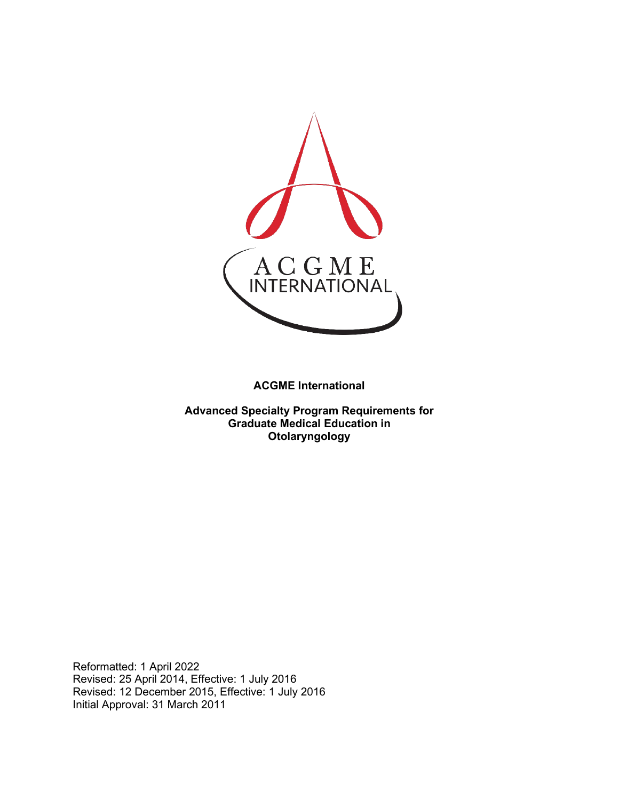

**ACGME International** 

**Advanced Specialty Program Requirements for Graduate Medical Education in Otolaryngology**

Reformatted: 1 April 2022 Revised: 25 April 2014, Effective: 1 July 2016 Revised: 12 December 2015, Effective: 1 July 2016 Initial Approval: 31 March 2011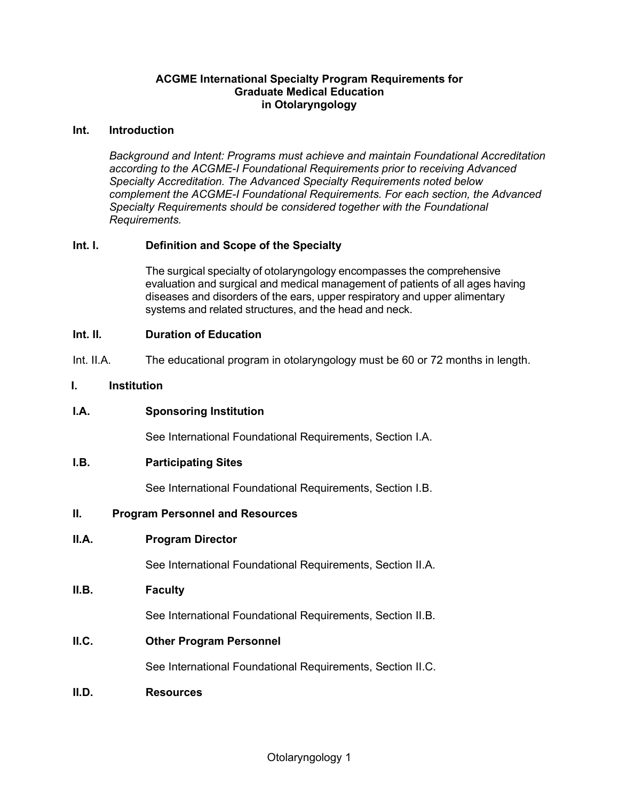#### **ACGME International Specialty Program Requirements for Graduate Medical Education in Otolaryngology**

#### **Int. Introduction**

*Background and Intent: Programs must achieve and maintain Foundational Accreditation according to the ACGME-I Foundational Requirements prior to receiving Advanced Specialty Accreditation. The Advanced Specialty Requirements noted below complement the ACGME-I Foundational Requirements. For each section, the Advanced Specialty Requirements should be considered together with the Foundational Requirements.*

#### **Int. I. Definition and Scope of the Specialty**

The surgical specialty of otolaryngology encompasses the comprehensive evaluation and surgical and medical management of patients of all ages having diseases and disorders of the ears, upper respiratory and upper alimentary systems and related structures, and the head and neck.

#### **Int. II. Duration of Education**

Int. II.A. The educational program in otolaryngology must be 60 or 72 months in length.

#### **I. Institution**

**I.A. Sponsoring Institution**

See International Foundational Requirements, Section I.A.

#### **I.B. Participating Sites**

See International Foundational Requirements, Section I.B.

#### **II. Program Personnel and Resources**

#### **II.A. Program Director**

See International Foundational Requirements, Section II.A.

#### **II.B. Faculty**

See International Foundational Requirements, Section II.B.

**II.C. Other Program Personnel**

See International Foundational Requirements, Section II.C.

**II.D. Resources**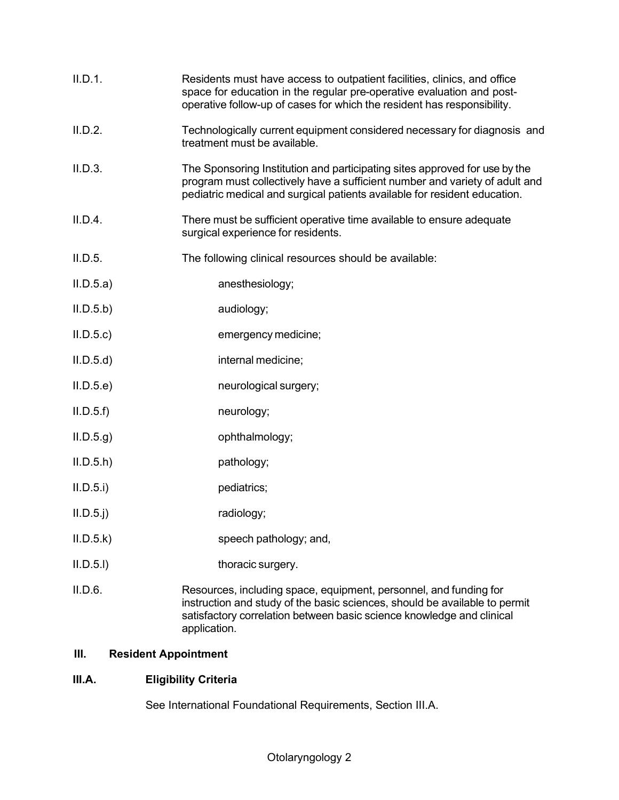| II.D.1.     | Residents must have access to outpatient facilities, clinics, and office<br>space for education in the regular pre-operative evaluation and post-<br>operative follow-up of cases for which the resident has responsibility.             |
|-------------|------------------------------------------------------------------------------------------------------------------------------------------------------------------------------------------------------------------------------------------|
| II.D.2.     | Technologically current equipment considered necessary for diagnosis and<br>treatment must be available.                                                                                                                                 |
| II.D.3.     | The Sponsoring Institution and participating sites approved for use by the<br>program must collectively have a sufficient number and variety of adult and<br>pediatric medical and surgical patients available for resident education.   |
| II.D.4.     | There must be sufficient operative time available to ensure adequate<br>surgical experience for residents.                                                                                                                               |
| II.D.5.     | The following clinical resources should be available:                                                                                                                                                                                    |
| II.D.5.a)   | anesthesiology;                                                                                                                                                                                                                          |
| II.D.5.b    | audiology;                                                                                                                                                                                                                               |
| ILD.5.c)    | emergency medicine;                                                                                                                                                                                                                      |
| II.D.5.d    | internal medicine;                                                                                                                                                                                                                       |
| II.D.5.e    | neurological surgery;                                                                                                                                                                                                                    |
| II.D.5.f    | neurology;                                                                                                                                                                                                                               |
| ILD.5.g     | ophthalmology;                                                                                                                                                                                                                           |
| ILD.5.h)    | pathology;                                                                                                                                                                                                                               |
| II.D.5.i)   | pediatrics;                                                                                                                                                                                                                              |
| $II.D.5.$ j | radiology;                                                                                                                                                                                                                               |
| II.D.5.k    | speech pathology; and,                                                                                                                                                                                                                   |
| II.D.5.I)   | thoracic surgery.                                                                                                                                                                                                                        |
| II.D.6.     | Resources, including space, equipment, personnel, and funding for<br>instruction and study of the basic sciences, should be available to permit<br>satisfactory correlation between basic science knowledge and clinical<br>application. |

# **III. Resident Appointment**

# **III.A. Eligibility Criteria**

See International Foundational Requirements, Section III.A.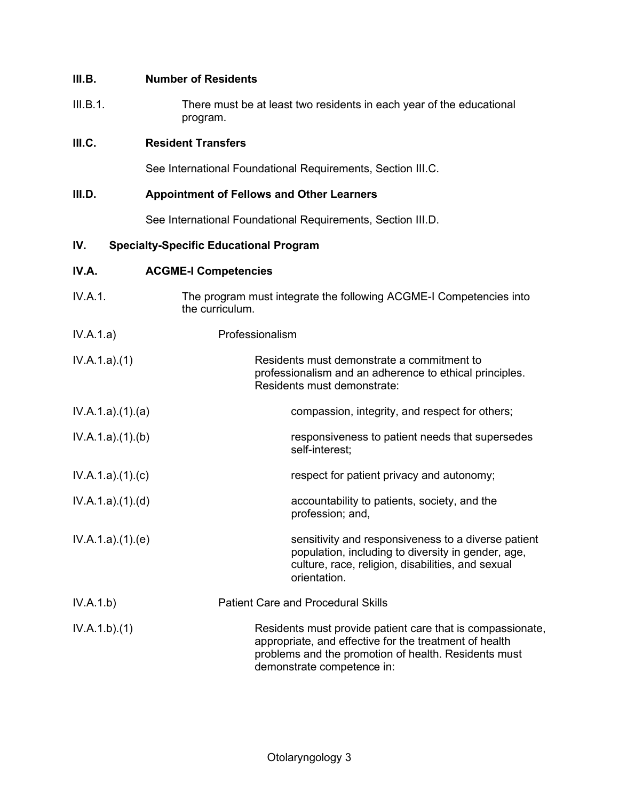## **III.B. Number of Residents**

III.B.1. There must be at least two residents in each year of the educational program.

### **III.C. Resident Transfers**

See International Foundational Requirements, Section III.C.

### **III.D. Appointment of Fellows and Other Learners**

See International Foundational Requirements, Section III.D.

## **IV. Specialty-Specific Educational Program**

## **IV.A. ACGME-I Competencies**

- IV.A.1. The program must integrate the following ACGME-I Competencies into the curriculum. IV.A.1.a) Professionalism IV.A.1.a).(1) Residents must demonstrate a commitment to professionalism and an adherence to ethical principles. Residents must demonstrate: IV.A.1.a).(1).(a) compassion, integrity, and respect for others;
- IV.A.1.a).(1).(b) responsiveness to patient needs that supersedes self-interest;
- IV.A.1.a).(1).(c) respect for patient privacy and autonomy;
- IV.A.1.a).(1).(d) accountability to patients, society, and the profession; and,
- IV.A.1.a).(1).(e) sensitivity and responsiveness to a diverse patient population, including to diversity in gender, age, culture, race, religion, disabilities, and sexual orientation.
- IV.A.1.b) Patient Care and Procedural Skills
- IV.A.1.b).(1) Residents must provide patient care that is compassionate, appropriate, and effective for the treatment of health problems and the promotion of health. Residents must demonstrate competence in: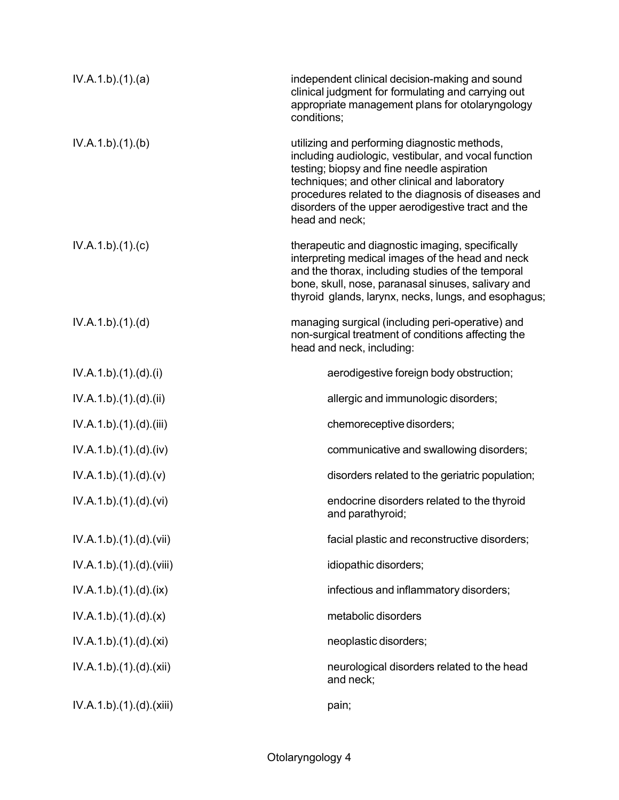| IV.A.1.b)(1)(a)          | independent clinical decision-making and sound<br>clinical judgment for formulating and carrying out<br>appropriate management plans for otolaryngology<br>conditions;                                                                                                                                                             |
|--------------------------|------------------------------------------------------------------------------------------------------------------------------------------------------------------------------------------------------------------------------------------------------------------------------------------------------------------------------------|
| IV.A.1.b)(1)(b)          | utilizing and performing diagnostic methods,<br>including audiologic, vestibular, and vocal function<br>testing; biopsy and fine needle aspiration<br>techniques; and other clinical and laboratory<br>procedures related to the diagnosis of diseases and<br>disorders of the upper aerodigestive tract and the<br>head and neck; |
| IV.A.1.b)(1)(c)          | therapeutic and diagnostic imaging, specifically<br>interpreting medical images of the head and neck<br>and the thorax, including studies of the temporal<br>bone, skull, nose, paranasal sinuses, salivary and<br>thyroid glands, larynx, necks, lungs, and esophagus;                                                            |
| IV.A.1.b)(1)(d)          | managing surgical (including peri-operative) and<br>non-surgical treatment of conditions affecting the<br>head and neck, including:                                                                                                                                                                                                |
| IV.A.1.b)(1)(d)(i)       | aerodigestive foreign body obstruction;                                                                                                                                                                                                                                                                                            |
| IV.A.1.b).(1).(d).(ii)   | allergic and immunologic disorders;                                                                                                                                                                                                                                                                                                |
| IV.A.1.b)(1)(d)(iii)     | chemoreceptive disorders;                                                                                                                                                                                                                                                                                                          |
| IV.A.1.b)(1)(d)(iv)      | communicative and swallowing disorders;                                                                                                                                                                                                                                                                                            |
| IV.A.1.b)(1)(d)(v)       | disorders related to the geriatric population;                                                                                                                                                                                                                                                                                     |
| IV.A.1.b).(1).(d).(vi)   | endocrine disorders related to the thyroid<br>and parathyroid;                                                                                                                                                                                                                                                                     |
| IV.A.1.b).(1).(d).(vii)  | facial plastic and reconstructive disorders;                                                                                                                                                                                                                                                                                       |
| IV.A.1.b)(1)(d)(viii)    | idiopathic disorders;                                                                                                                                                                                                                                                                                                              |
| IV.A.1.b)(1)(d)(ix)      | infectious and inflammatory disorders;                                                                                                                                                                                                                                                                                             |
| IV.A.1.b)(1)(d)(x)       | metabolic disorders                                                                                                                                                                                                                                                                                                                |
| IV.A.1.b)(1)(d)(xi)      | neoplastic disorders;                                                                                                                                                                                                                                                                                                              |
| IV.A.1.b).(1).(d).(xii)  | neurological disorders related to the head<br>and neck;                                                                                                                                                                                                                                                                            |
| IV.A.1.b).(1).(d).(xiii) | pain;                                                                                                                                                                                                                                                                                                                              |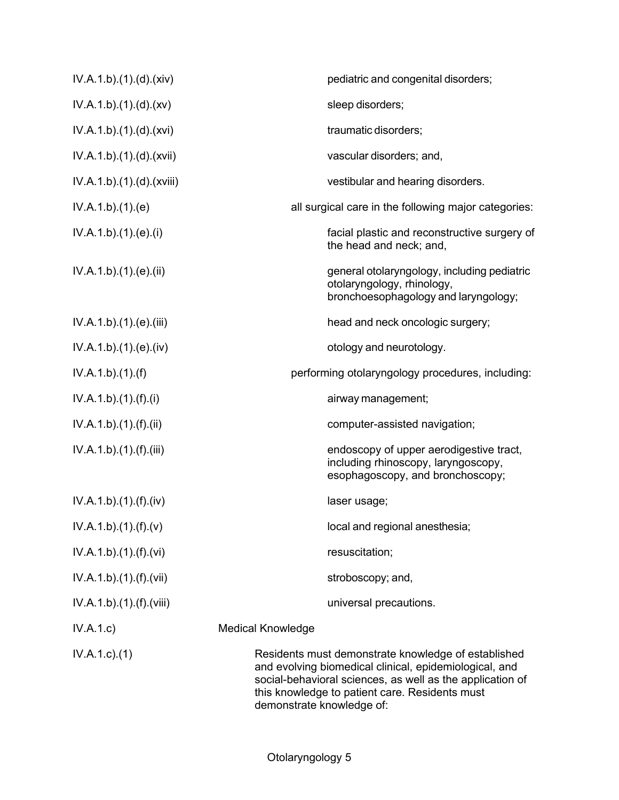| IV.A.1.b).(1).(d).(xiv)   | pediatric and congenital disorders;                                                                                                                                                                                                                       |
|---------------------------|-----------------------------------------------------------------------------------------------------------------------------------------------------------------------------------------------------------------------------------------------------------|
| IV.A.1.b).(1).(d).(xv)    | sleep disorders;                                                                                                                                                                                                                                          |
| IV.A.1.b)(1)(d)(xvi)      | traumatic disorders;                                                                                                                                                                                                                                      |
| IV.A.1.b).(1).(d).(xvii)  | vascular disorders; and,                                                                                                                                                                                                                                  |
| IV.A.1.b).(1).(d).(xviii) | vestibular and hearing disorders.                                                                                                                                                                                                                         |
| IV.A.1.b)(1)(e)           | all surgical care in the following major categories:                                                                                                                                                                                                      |
| IV.A.1.b)(1)(e)(i)        | facial plastic and reconstructive surgery of<br>the head and neck; and,                                                                                                                                                                                   |
| IV.A.1.b).(1).(e).(ii)    | general otolaryngology, including pediatric<br>otolaryngology, rhinology,<br>bronchoesophagology and laryngology;                                                                                                                                         |
| IV.A.1.b).(1).(e).(iii)   | head and neck oncologic surgery;                                                                                                                                                                                                                          |
| IV.A.1.b)(1)(e)(iv)       | otology and neurotology.                                                                                                                                                                                                                                  |
| IV.A.1.b)(1)(f)           | performing otolaryngology procedures, including:                                                                                                                                                                                                          |
| IV.A.1.b)(1)(f)(i)        | airway management;                                                                                                                                                                                                                                        |
| IV.A.1.b)(1)(f)(ii)       | computer-assisted navigation;                                                                                                                                                                                                                             |
| IV.A.1.b)(1)(f)(iii)      | endoscopy of upper aerodigestive tract,<br>including rhinoscopy, laryngoscopy,<br>esophagoscopy, and bronchoscopy;                                                                                                                                        |
| IV.A.1.b)(1)(f)(iv)       | laser usage;                                                                                                                                                                                                                                              |
| IV.A.1.b).(1).(f).(v)     | local and regional anesthesia;                                                                                                                                                                                                                            |
| IV.A.1.b)(1)(f)(vi)       | resuscitation;                                                                                                                                                                                                                                            |
| IV.A.1.b)(1)(f)(vii)      | stroboscopy; and,                                                                                                                                                                                                                                         |
| IV.A.1.b)(1)(f)(viii)     | universal precautions.                                                                                                                                                                                                                                    |
| IV.A.1.c)                 | <b>Medical Knowledge</b>                                                                                                                                                                                                                                  |
| $IV.A.1.c.$ (1)           | Residents must demonstrate knowledge of established<br>and evolving biomedical clinical, epidemiological, and<br>social-behavioral sciences, as well as the application of<br>this knowledge to patient care. Residents must<br>demonstrate knowledge of: |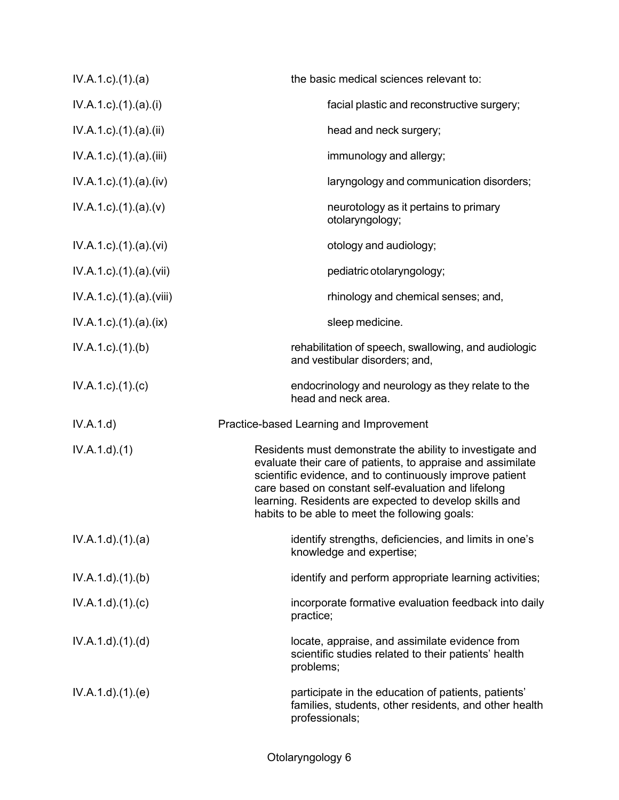| $IV.A.1.c$ . $(1).$ $(a)$          | the basic medical sciences relevant to:                                                                                                                                                                                                                                                                                                                 |
|------------------------------------|---------------------------------------------------------------------------------------------------------------------------------------------------------------------------------------------------------------------------------------------------------------------------------------------------------------------------------------------------------|
| $IV.A.1.c$ ). $(1).$ $(a).$ $(i)$  | facial plastic and reconstructive surgery;                                                                                                                                                                                                                                                                                                              |
| IV.A.1.c).(1).(a).(ii)             | head and neck surgery;                                                                                                                                                                                                                                                                                                                                  |
| IV.A.1.c).(1).(a).(iii)            | immunology and allergy;                                                                                                                                                                                                                                                                                                                                 |
| $IV.A.1.c$ . $(1).$ (a). $(iv)$    | laryngology and communication disorders;                                                                                                                                                                                                                                                                                                                |
| $IV.A.1.c$ ). $(1).$ $(a)$ . $(v)$ | neurotology as it pertains to primary<br>otolaryngology;                                                                                                                                                                                                                                                                                                |
| $IV.A.1.c$ ) $(1)(a)(vi)$          | otology and audiology;                                                                                                                                                                                                                                                                                                                                  |
| IV.A.1.c).(1).(a).(vii)            | pediatric otolaryngology;                                                                                                                                                                                                                                                                                                                               |
| IV.A.1.c).(1).(a).(viii)           | rhinology and chemical senses; and,                                                                                                                                                                                                                                                                                                                     |
| $IV.A.1.c$ . $(1).$ $(a).$ $(ix)$  | sleep medicine.                                                                                                                                                                                                                                                                                                                                         |
| $IV.A.1.c.$ (1).(b)                | rehabilitation of speech, swallowing, and audiologic<br>and vestibular disorders; and,                                                                                                                                                                                                                                                                  |
| $IV.A.1.c$ . $(1).$ $(c)$          | endocrinology and neurology as they relate to the<br>head and neck area.                                                                                                                                                                                                                                                                                |
| IV.A.1.d)                          | Practice-based Learning and Improvement                                                                                                                                                                                                                                                                                                                 |
| IV.A.1.d)(1)                       | Residents must demonstrate the ability to investigate and<br>evaluate their care of patients, to appraise and assimilate<br>scientific evidence, and to continuously improve patient<br>care based on constant self-evaluation and lifelong<br>learning. Residents are expected to develop skills and<br>habits to be able to meet the following goals: |
| IV.A.1.d)(1)(a)                    | identify strengths, deficiencies, and limits in one's<br>knowledge and expertise;                                                                                                                                                                                                                                                                       |
| IV.A.1.d)(1)(b)                    | identify and perform appropriate learning activities;                                                                                                                                                                                                                                                                                                   |
| IV.A.1.d)(1)(c)                    | incorporate formative evaluation feedback into daily<br>practice;                                                                                                                                                                                                                                                                                       |
| IV.A.1.d)(1)(d)                    | locate, appraise, and assimilate evidence from<br>scientific studies related to their patients' health<br>problems;                                                                                                                                                                                                                                     |
| IV.A.1.d)(1)(e)                    | participate in the education of patients, patients'<br>families, students, other residents, and other health<br>professionals;                                                                                                                                                                                                                          |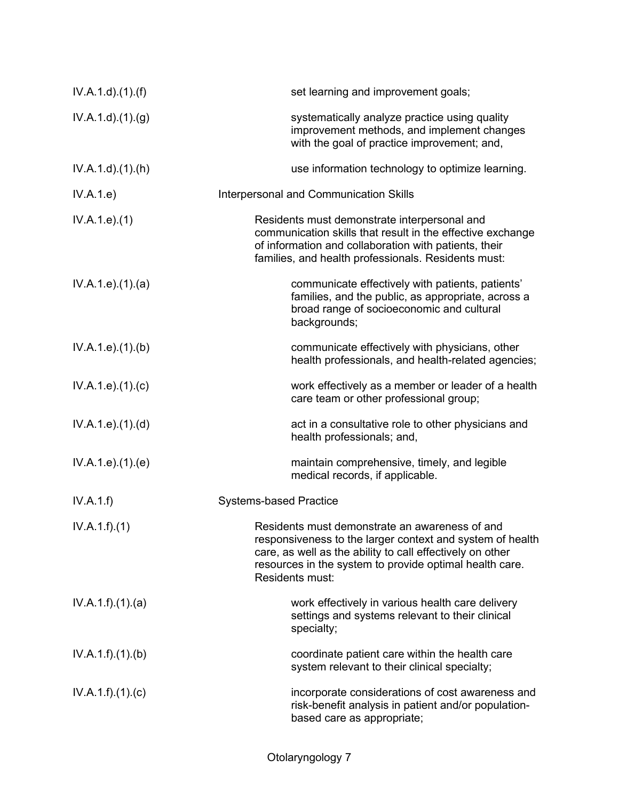| IV.A.1.d)(1.(f))             | set learning and improvement goals;                                                                                                                                                                                                                    |
|------------------------------|--------------------------------------------------------------------------------------------------------------------------------------------------------------------------------------------------------------------------------------------------------|
| IV.A.1.d.(1). <sub>(g)</sub> | systematically analyze practice using quality<br>improvement methods, and implement changes<br>with the goal of practice improvement; and,                                                                                                             |
| $IV.A.1.d$ . $(1).(h)$       | use information technology to optimize learning.                                                                                                                                                                                                       |
| IV.A.1.e)                    | <b>Interpersonal and Communication Skills</b>                                                                                                                                                                                                          |
| IV.A.1.e. (1)                | Residents must demonstrate interpersonal and<br>communication skills that result in the effective exchange<br>of information and collaboration with patients, their<br>families, and health professionals. Residents must:                             |
| IV.A.1.e. (1). (a)           | communicate effectively with patients, patients'<br>families, and the public, as appropriate, across a<br>broad range of socioeconomic and cultural<br>backgrounds;                                                                                    |
| IV.A.1.e. (1)(b)             | communicate effectively with physicians, other<br>health professionals, and health-related agencies;                                                                                                                                                   |
| IV.A.1.e. (1). (c)           | work effectively as a member or leader of a health<br>care team or other professional group;                                                                                                                                                           |
| IV.A.1.e. (1). (d)           | act in a consultative role to other physicians and<br>health professionals; and,                                                                                                                                                                       |
| IV.A.1.e. (1)(e)             | maintain comprehensive, timely, and legible<br>medical records, if applicable.                                                                                                                                                                         |
| IV.A.1.f)                    | <b>Systems-based Practice</b>                                                                                                                                                                                                                          |
| IV.A.1.f)(1)                 | Residents must demonstrate an awareness of and<br>responsiveness to the larger context and system of health<br>care, as well as the ability to call effectively on other<br>resources in the system to provide optimal health care.<br>Residents must: |
| IV.A.1.f)(1)(a)              | work effectively in various health care delivery<br>settings and systems relevant to their clinical<br>specialty;                                                                                                                                      |
| IV.A.1.f)(1)(b)              | coordinate patient care within the health care<br>system relevant to their clinical specialty;                                                                                                                                                         |
| IV.A.1.f)(1)(c)              | incorporate considerations of cost awareness and<br>risk-benefit analysis in patient and/or population-<br>based care as appropriate;                                                                                                                  |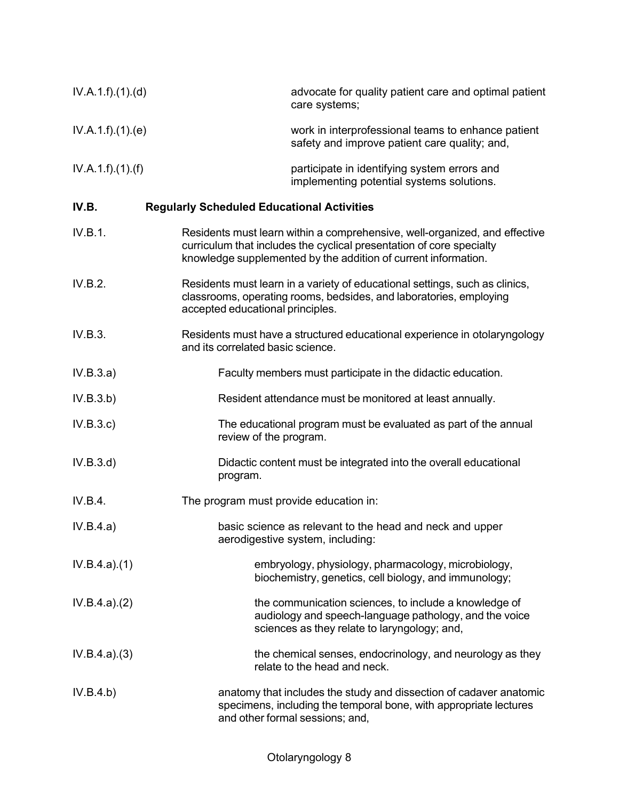| IV.A.1.f)(1)(d) | advocate for quality patient care and optimal patient<br>care systems;                                                                                                                                               |
|-----------------|----------------------------------------------------------------------------------------------------------------------------------------------------------------------------------------------------------------------|
| IV.A.1.f)(1)(e) | work in interprofessional teams to enhance patient<br>safety and improve patient care quality; and,                                                                                                                  |
| IV.A.1.f)(1)(f) | participate in identifying system errors and<br>implementing potential systems solutions.                                                                                                                            |
| IV.B.           | <b>Regularly Scheduled Educational Activities</b>                                                                                                                                                                    |
| IV.B.1.         | Residents must learn within a comprehensive, well-organized, and effective<br>curriculum that includes the cyclical presentation of core specialty<br>knowledge supplemented by the addition of current information. |
| IV.B.2.         | Residents must learn in a variety of educational settings, such as clinics,<br>classrooms, operating rooms, bedsides, and laboratories, employing<br>accepted educational principles.                                |
| IV.B.3.         | Residents must have a structured educational experience in otolaryngology<br>and its correlated basic science.                                                                                                       |
| IV.B.3.a)       | Faculty members must participate in the didactic education.                                                                                                                                                          |
| IV.B.3.b)       | Resident attendance must be monitored at least annually.                                                                                                                                                             |
| IV.B.3.c)       | The educational program must be evaluated as part of the annual<br>review of the program.                                                                                                                            |
| IV.B.3.d)       | Didactic content must be integrated into the overall educational<br>program.                                                                                                                                         |
| IV.B.4.         | The program must provide education in:                                                                                                                                                                               |
| IV.B.4.a)       | basic science as relevant to the head and neck and upper<br>aerodigestive system, including:                                                                                                                         |
| IV.B.4.a)(1)    | embryology, physiology, pharmacology, microbiology,<br>biochemistry, genetics, cell biology, and immunology;                                                                                                         |
| IV.B.4.a)(2)    | the communication sciences, to include a knowledge of<br>audiology and speech-language pathology, and the voice<br>sciences as they relate to laryngology; and,                                                      |
| IV.B.4.a)(3)    | the chemical senses, endocrinology, and neurology as they<br>relate to the head and neck.                                                                                                                            |
| IV.B.4.b)       | anatomy that includes the study and dissection of cadaver anatomic<br>specimens, including the temporal bone, with appropriate lectures<br>and other formal sessions; and,                                           |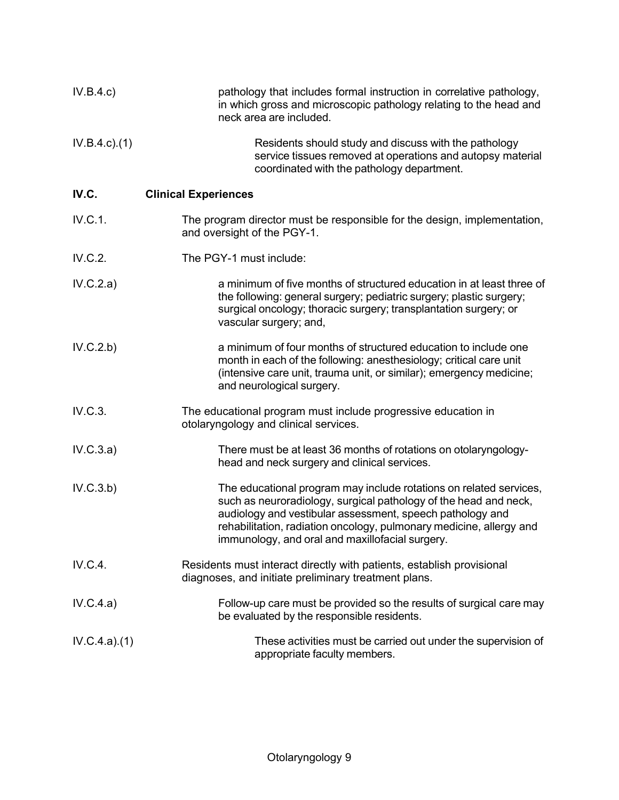| IV.B.4.c)       | pathology that includes formal instruction in correlative pathology,<br>in which gross and microscopic pathology relating to the head and<br>neck area are included.                                                                                                                                                          |
|-----------------|-------------------------------------------------------------------------------------------------------------------------------------------------------------------------------------------------------------------------------------------------------------------------------------------------------------------------------|
| $IV.B.4.c.$ (1) | Residents should study and discuss with the pathology<br>service tissues removed at operations and autopsy material<br>coordinated with the pathology department.                                                                                                                                                             |
| IV.C.           | <b>Clinical Experiences</b>                                                                                                                                                                                                                                                                                                   |
| IV.C.1.         | The program director must be responsible for the design, implementation,<br>and oversight of the PGY-1.                                                                                                                                                                                                                       |
| IV.C.2.         | The PGY-1 must include:                                                                                                                                                                                                                                                                                                       |
| IV.C.2.a)       | a minimum of five months of structured education in at least three of<br>the following: general surgery; pediatric surgery; plastic surgery;<br>surgical oncology; thoracic surgery; transplantation surgery; or<br>vascular surgery; and,                                                                                    |
| IV.C.2.b)       | a minimum of four months of structured education to include one<br>month in each of the following: anesthesiology; critical care unit<br>(intensive care unit, trauma unit, or similar); emergency medicine;<br>and neurological surgery.                                                                                     |
| IV.C.3.         | The educational program must include progressive education in<br>otolaryngology and clinical services.                                                                                                                                                                                                                        |
| IV.C.3.a)       | There must be at least 36 months of rotations on otolaryngology-<br>head and neck surgery and clinical services.                                                                                                                                                                                                              |
| IV.C.3.b)       | The educational program may include rotations on related services,<br>such as neuroradiology, surgical pathology of the head and neck,<br>audiology and vestibular assessment, speech pathology and<br>rehabilitation, radiation oncology, pulmonary medicine, allergy and<br>immunology, and oral and maxillofacial surgery. |
| IV.C.4.         | Residents must interact directly with patients, establish provisional<br>diagnoses, and initiate preliminary treatment plans.                                                                                                                                                                                                 |
| IV.C.4.a)       | Follow-up care must be provided so the results of surgical care may<br>be evaluated by the responsible residents.                                                                                                                                                                                                             |
| IV.C.4.a)(1)    | These activities must be carried out under the supervision of<br>appropriate faculty members.                                                                                                                                                                                                                                 |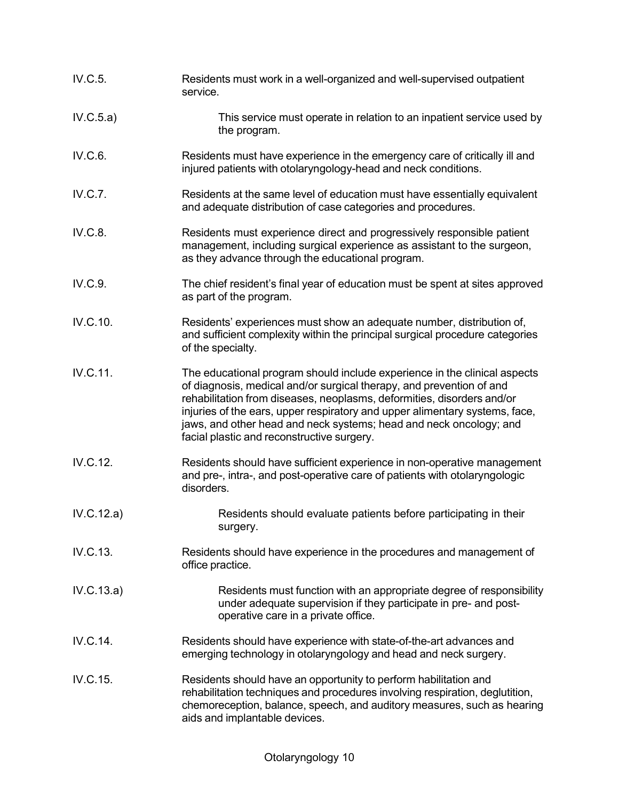| IV.C.5.    | Residents must work in a well-organized and well-supervised outpatient<br>service.                                                                                                                                                                                                                                                                                                                                             |
|------------|--------------------------------------------------------------------------------------------------------------------------------------------------------------------------------------------------------------------------------------------------------------------------------------------------------------------------------------------------------------------------------------------------------------------------------|
| IV.C.5.a)  | This service must operate in relation to an inpatient service used by<br>the program.                                                                                                                                                                                                                                                                                                                                          |
| IV.C.6.    | Residents must have experience in the emergency care of critically ill and<br>injured patients with otolaryngology-head and neck conditions.                                                                                                                                                                                                                                                                                   |
| IV.C.7.    | Residents at the same level of education must have essentially equivalent<br>and adequate distribution of case categories and procedures.                                                                                                                                                                                                                                                                                      |
| IV.C.8.    | Residents must experience direct and progressively responsible patient<br>management, including surgical experience as assistant to the surgeon,<br>as they advance through the educational program.                                                                                                                                                                                                                           |
| IV.C.9.    | The chief resident's final year of education must be spent at sites approved<br>as part of the program.                                                                                                                                                                                                                                                                                                                        |
| IV.C.10.   | Residents' experiences must show an adequate number, distribution of,<br>and sufficient complexity within the principal surgical procedure categories<br>of the specialty.                                                                                                                                                                                                                                                     |
| IV.C.11.   | The educational program should include experience in the clinical aspects<br>of diagnosis, medical and/or surgical therapy, and prevention of and<br>rehabilitation from diseases, neoplasms, deformities, disorders and/or<br>injuries of the ears, upper respiratory and upper alimentary systems, face,<br>jaws, and other head and neck systems; head and neck oncology; and<br>facial plastic and reconstructive surgery. |
| IV.C.12.   | Residents should have sufficient experience in non-operative management<br>and pre-, intra-, and post-operative care of patients with otolaryngologic<br>disorders.                                                                                                                                                                                                                                                            |
| IV.C.12.a) | Residents should evaluate patients before participating in their<br>surgery.                                                                                                                                                                                                                                                                                                                                                   |
| IV.C.13.   | Residents should have experience in the procedures and management of<br>office practice.                                                                                                                                                                                                                                                                                                                                       |
| IV.C.13.a) | Residents must function with an appropriate degree of responsibility<br>under adequate supervision if they participate in pre- and post-<br>operative care in a private office.                                                                                                                                                                                                                                                |
| IV.C.14.   | Residents should have experience with state-of-the-art advances and<br>emerging technology in otolaryngology and head and neck surgery.                                                                                                                                                                                                                                                                                        |
| IV.C.15.   | Residents should have an opportunity to perform habilitation and<br>rehabilitation techniques and procedures involving respiration, deglutition,<br>chemoreception, balance, speech, and auditory measures, such as hearing<br>aids and implantable devices.                                                                                                                                                                   |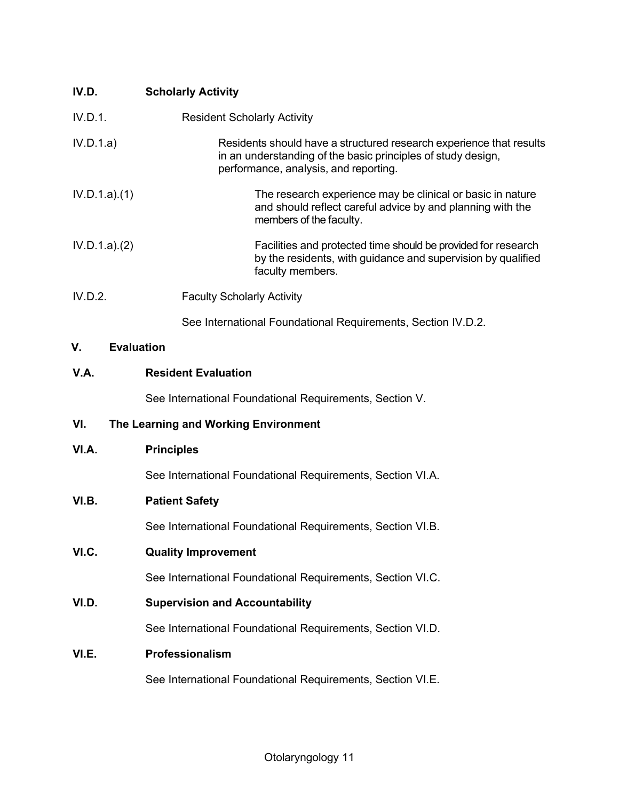| IV.D.                   | <b>Scholarly Activity</b>                                                                                                                                                    |
|-------------------------|------------------------------------------------------------------------------------------------------------------------------------------------------------------------------|
| IV.D.1.                 | <b>Resident Scholarly Activity</b>                                                                                                                                           |
| IV.D.1.a)               | Residents should have a structured research experience that results<br>in an understanding of the basic principles of study design,<br>performance, analysis, and reporting. |
| IV.D.1.a)(1)            | The research experience may be clinical or basic in nature<br>and should reflect careful advice by and planning with the<br>members of the faculty.                          |
| IV.D.1.a)(2)            | Facilities and protected time should be provided for research<br>by the residents, with guidance and supervision by qualified<br>faculty members.                            |
| IV.D.2.                 | <b>Faculty Scholarly Activity</b>                                                                                                                                            |
|                         | See International Foundational Requirements, Section IV.D.2.                                                                                                                 |
| <b>Evaluation</b><br>V. |                                                                                                                                                                              |
| V.A.                    | <b>Resident Evaluation</b>                                                                                                                                                   |
|                         | See International Foundational Requirements, Section V.                                                                                                                      |
| VI.                     | The Learning and Working Environment                                                                                                                                         |
| VI.A.                   | <b>Principles</b>                                                                                                                                                            |
|                         | See International Foundational Requirements, Section VI.A.                                                                                                                   |
| VI.B.                   | <b>Patient Safety</b>                                                                                                                                                        |
|                         | See International Foundational Requirements, Section VI.B.                                                                                                                   |
| VI.C.                   | <b>Quality Improvement</b>                                                                                                                                                   |
|                         | See International Foundational Requirements, Section VI.C.                                                                                                                   |
| VI.D.                   | <b>Supervision and Accountability</b>                                                                                                                                        |
|                         | See International Foundational Requirements, Section VI.D.                                                                                                                   |
| VI.E.                   | Professionalism                                                                                                                                                              |
|                         | See International Foundational Requirements, Section VI.E.                                                                                                                   |